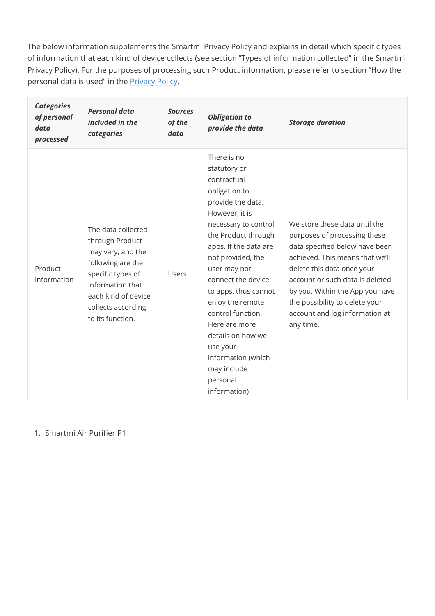The below information supplements the Smartmi Privacy Policy and explains in detail which specific types of information that each kind of device collects (see section "Types of information collected" in the Smartmi Privacy Policy). For the purposes of processing such Product information, please refer to section "How the personal data is used" in the **Privacy Policy**.

| <b>Categories</b><br>of personal<br>data<br>processed | <b>Personal data</b><br>included in the<br>categories                                                                                                                                     | <b>Sources</b><br>of the<br>data | <b>Obligation to</b><br>provide the data                                                                                                                                                                                                                                                                                                                                                                                  | <b>Storage duration</b>                                                                                                                                                                                                                                                                                                 |
|-------------------------------------------------------|-------------------------------------------------------------------------------------------------------------------------------------------------------------------------------------------|----------------------------------|---------------------------------------------------------------------------------------------------------------------------------------------------------------------------------------------------------------------------------------------------------------------------------------------------------------------------------------------------------------------------------------------------------------------------|-------------------------------------------------------------------------------------------------------------------------------------------------------------------------------------------------------------------------------------------------------------------------------------------------------------------------|
| Product<br>information                                | The data collected<br>through Product<br>may vary, and the<br>following are the<br>specific types of<br>information that<br>each kind of device<br>collects according<br>to its function. | <b>Users</b>                     | There is no<br>statutory or<br>contractual<br>obligation to<br>provide the data.<br>However, it is<br>necessary to control<br>the Product through<br>apps. If the data are<br>not provided, the<br>user may not<br>connect the device<br>to apps, thus cannot<br>enjoy the remote<br>control function.<br>Here are more<br>details on how we<br>use your<br>information (which<br>may include<br>personal<br>information) | We store these data until the<br>purposes of processing these<br>data specified below have been<br>achieved. This means that we'll<br>delete this data once your<br>account or such data is deleted<br>by you. Within the App you have<br>the possibility to delete your<br>account and log information at<br>any time. |

1. Smartmi Air Purifier P1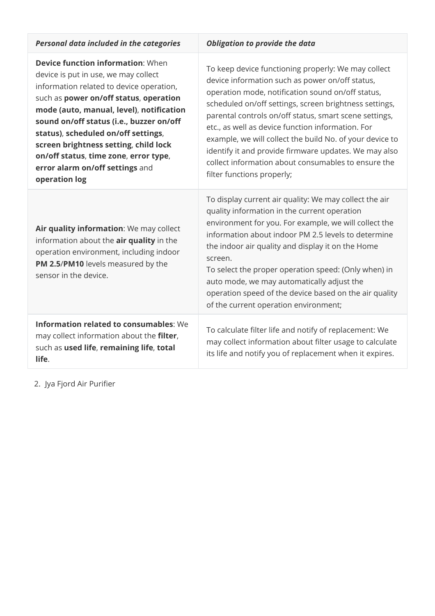| Personal data included in the categories                                                                                                                                                                                                                                                                                                                                                                                                    | <b>Obligation to provide the data</b>                                                                                                                                                                                                                                                                                                                                                                                                                                                                                                          |
|---------------------------------------------------------------------------------------------------------------------------------------------------------------------------------------------------------------------------------------------------------------------------------------------------------------------------------------------------------------------------------------------------------------------------------------------|------------------------------------------------------------------------------------------------------------------------------------------------------------------------------------------------------------------------------------------------------------------------------------------------------------------------------------------------------------------------------------------------------------------------------------------------------------------------------------------------------------------------------------------------|
| <b>Device function information: When</b><br>device is put in use, we may collect<br>information related to device operation,<br>such as power on/off status, operation<br>mode (auto, manual, level), notification<br>sound on/off status (i.e., buzzer on/off<br>status), scheduled on/off settings,<br>screen brightness setting, child lock<br>on/off status, time zone, error type,<br>error alarm on/off settings and<br>operation log | To keep device functioning properly: We may collect<br>device information such as power on/off status,<br>operation mode, notification sound on/off status,<br>scheduled on/off settings, screen brightness settings,<br>parental controls on/off status, smart scene settings,<br>etc., as well as device function information. For<br>example, we will collect the build No. of your device to<br>identify it and provide firmware updates. We may also<br>collect information about consumables to ensure the<br>filter functions properly; |
| Air quality information: We may collect<br>information about the air quality in the<br>operation environment, including indoor<br>PM 2.5/PM10 levels measured by the<br>sensor in the device.                                                                                                                                                                                                                                               | To display current air quality: We may collect the air<br>quality information in the current operation<br>environment for you. For example, we will collect the<br>information about indoor PM 2.5 levels to determine<br>the indoor air quality and display it on the Home<br>screen.<br>To select the proper operation speed: (Only when) in<br>auto mode, we may automatically adjust the<br>operation speed of the device based on the air quality<br>of the current operation environment;                                                |
| <b>Information related to consumables: We</b><br>may collect information about the filter,<br>such as used life, remaining life, total<br>life.                                                                                                                                                                                                                                                                                             | To calculate filter life and notify of replacement: We<br>may collect information about filter usage to calculate<br>its life and notify you of replacement when it expires.                                                                                                                                                                                                                                                                                                                                                                   |

2. Jya Fjord Air Purifier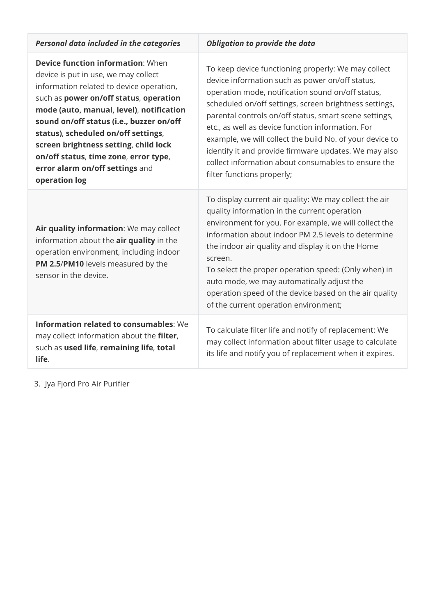| <b>Personal data included in the categories</b>                                                                                                                                                                                                                                                                                                                                                                                             | <b>Obligation to provide the data</b>                                                                                                                                                                                                                                                                                                                                                                                                                                                                                                          |  |
|---------------------------------------------------------------------------------------------------------------------------------------------------------------------------------------------------------------------------------------------------------------------------------------------------------------------------------------------------------------------------------------------------------------------------------------------|------------------------------------------------------------------------------------------------------------------------------------------------------------------------------------------------------------------------------------------------------------------------------------------------------------------------------------------------------------------------------------------------------------------------------------------------------------------------------------------------------------------------------------------------|--|
| <b>Device function information: When</b><br>device is put in use, we may collect<br>information related to device operation,<br>such as power on/off status, operation<br>mode (auto, manual, level), notification<br>sound on/off status (i.e., buzzer on/off<br>status), scheduled on/off settings,<br>screen brightness setting, child lock<br>on/off status, time zone, error type,<br>error alarm on/off settings and<br>operation log | To keep device functioning properly: We may collect<br>device information such as power on/off status,<br>operation mode, notification sound on/off status,<br>scheduled on/off settings, screen brightness settings,<br>parental controls on/off status, smart scene settings,<br>etc., as well as device function information. For<br>example, we will collect the build No. of your device to<br>identify it and provide firmware updates. We may also<br>collect information about consumables to ensure the<br>filter functions properly; |  |
| Air quality information: We may collect<br>information about the air quality in the<br>operation environment, including indoor<br>PM 2.5/PM10 levels measured by the<br>sensor in the device.                                                                                                                                                                                                                                               | To display current air quality: We may collect the air<br>quality information in the current operation<br>environment for you. For example, we will collect the<br>information about indoor PM 2.5 levels to determine<br>the indoor air quality and display it on the Home<br>screen.<br>To select the proper operation speed: (Only when) in<br>auto mode, we may automatically adjust the<br>operation speed of the device based on the air quality<br>of the current operation environment;                                                |  |
| <b>Information related to consumables: We</b><br>may collect information about the filter,<br>such as used life, remaining life, total<br>life.                                                                                                                                                                                                                                                                                             | To calculate filter life and notify of replacement: We<br>may collect information about filter usage to calculate<br>its life and notify you of replacement when it expires.                                                                                                                                                                                                                                                                                                                                                                   |  |

3. Jya Fjord Pro Air Purifier